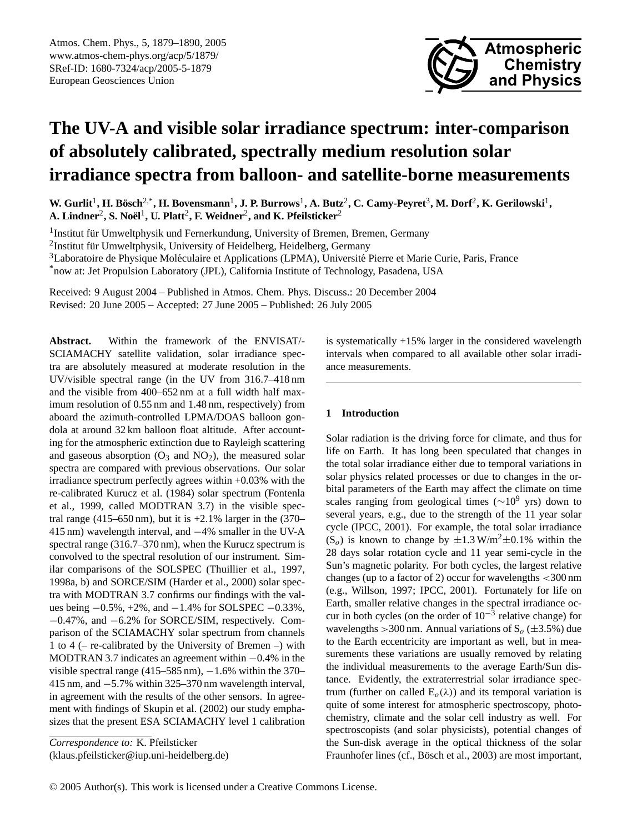

# **The UV-A and visible solar irradiance spectrum: inter-comparison of absolutely calibrated, spectrally medium resolution solar irradiance spectra from balloon- and satellite-borne measurements**

W. Gurlit<sup>1</sup>, H. Bösch<sup>2,\*</sup>, H. Bovensmann<sup>1</sup>, J. P. Burrows<sup>1</sup>, A. Butz<sup>2</sup>, C. Camy-Peyret<sup>3</sup>, M. Dorf<sup>2</sup>, K. Gerilowski<sup>1</sup>,  $\boldsymbol{\mathsf{A}}$ . Lindner<sup>2</sup>, S. Noël $^1$ , U. Platt $^2$ , F. Weidner $^2$ , and K. Pfeilsticker $^2$ 

<sup>1</sup> Institut für Umweltphysik und Fernerkundung, University of Bremen, Bremen, Germany  $^{2}$ Institut für Umweltphysik, University of Heidelberg, Heidelberg, Germany <sup>3</sup>Laboratoire de Physique Moléculaire et Applications (LPMA), Université Pierre et Marie Curie, Paris, France \*now at: Jet Propulsion Laboratory (JPL), California Institute of Technology, Pasadena, USA

Received: 9 August 2004 – Published in Atmos. Chem. Phys. Discuss.: 20 December 2004 Revised: 20 June 2005 – Accepted: 27 June 2005 – Published: 26 July 2005

**Abstract.** Within the framework of the ENVISAT/- SCIAMACHY satellite validation, solar irradiance spectra are absolutely measured at moderate resolution in the UV/visible spectral range (in the UV from 316.7–418 nm and the visible from 400–652 nm at a full width half maximum resolution of 0.55 nm and 1.48 nm, respectively) from aboard the azimuth-controlled LPMA/DOAS balloon gondola at around 32 km balloon float altitude. After accounting for the atmospheric extinction due to Rayleigh scattering and gaseous absorption  $(O_3 \text{ and } NO_2)$ , the measured solar spectra are compared with previous observations. Our solar irradiance spectrum perfectly agrees within +0.03% with the re-calibrated Kurucz et al. (1984) solar spectrum (Fontenla et al., 1999, called MODTRAN 3.7) in the visible spectral range (415–650 nm), but it is  $+2.1\%$  larger in the (370– 415 nm) wavelength interval, and −4% smaller in the UV-A spectral range (316.7–370 nm), when the Kurucz spectrum is convolved to the spectral resolution of our instrument. Similar comparisons of the SOLSPEC (Thuillier et al., 1997, 1998a, b) and SORCE/SIM (Harder et al., 2000) solar spectra with MODTRAN 3.7 confirms our findings with the values being  $-0.5\%$ ,  $+2\%$ , and  $-1.4\%$  for SOLSPEC  $-0.33\%$ , −0.47%, and −6.2% for SORCE/SIM, respectively. Comparison of the SCIAMACHY solar spectrum from channels 1 to 4 (– re-calibrated by the University of Bremen –) with MODTRAN 3.7 indicates an agreement within −0.4% in the visible spectral range  $(415–585 \text{ nm})$ ,  $-1.6\%$  within the 370– 415 nm, and −5.7% within 325–370 nm wavelength interval, in agreement with the results of the other sensors. In agreement with findings of Skupin et al. (2002) our study emphasizes that the present ESA SCIAMACHY level 1 calibration

*Correspondence to:* K. Pfeilsticker

<span id="page-0-0"></span>(klaus.pfeilsticker@iup.uni-heidelberg.de)

is systematically +15% larger in the considered wavelength intervals when compared to all available other solar irradiance measurements.

# **1 Introduction**

Solar radiation is the driving force for climate, and thus for life on Earth. It has long been speculated that changes in the total solar irradiance either due to temporal variations in solar physics related processes or due to changes in the orbital parameters of the Earth may affect the climate on time scales ranging from geological times ( $\sim 10^9$  yrs) down to several years, e.g., due to the strength of the 11 year solar cycle (IPCC, 2001). For example, the total solar irradiance  $(S<sub>o</sub>)$  is known to change by  $\pm 1.3$  W/m<sup>2</sup> $\pm 0.1$ % within the 28 days solar rotation cycle and 11 year semi-cycle in the Sun's magnetic polarity. For both cycles, the largest relative changes (up to a factor of 2) occur for wavelengths  $\langle 300 \text{ nm} \rangle$ (e.g., Willson, 1997; IPCC, 2001). Fortunately for life on Earth, smaller relative changes in the spectral irradiance occur in both cycles (on the order of  $10^{-3}$  relative change) for wavelengths > 300 nm. Annual variations of  $S_0$  ( $\pm$ 3.5%) due to the Earth eccentricity are important as well, but in measurements these variations are usually removed by relating the individual measurements to the average Earth/Sun distance. Evidently, the extraterrestrial solar irradiance spectrum (further on called  $E_o(\lambda)$ ) and its temporal variation is quite of some interest for atmospheric spectroscopy, photochemistry, climate and the solar cell industry as well. For spectroscopists (and solar physicists), potential changes of the Sun-disk average in the optical thickness of the solar Fraunhofer lines (cf., Bösch et al., 2003) are most important,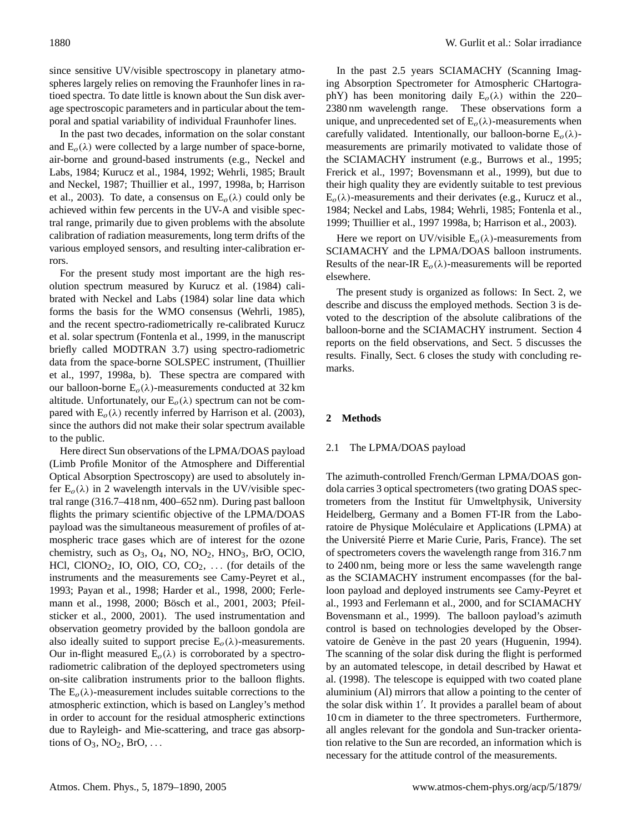since sensitive UV/visible spectroscopy in planetary atmospheres largely relies on removing the Fraunhofer lines in ratioed spectra. To date little is known about the Sun disk average spectroscopic parameters and in particular about the temporal and spatial variability of individual Fraunhofer lines.

In the past two decades, information on the solar constant and  $E_o(\lambda)$  were collected by a large number of space-borne, air-borne and ground-based instruments (e.g., Neckel and Labs, 1984; Kurucz et al., 1984, 1992; Wehrli, 1985; Brault and Neckel, 1987; Thuillier et al., 1997, 1998a, b; Harrison et al., 2003). To date, a consensus on  $E_o(\lambda)$  could only be achieved within few percents in the UV-A and visible spectral range, primarily due to given problems with the absolute calibration of radiation measurements, long term drifts of the various employed sensors, and resulting inter-calibration errors.

For the present study most important are the high resolution spectrum measured by Kurucz et al. (1984) calibrated with Neckel and Labs (1984) solar line data which forms the basis for the WMO consensus (Wehrli, 1985), and the recent spectro-radiometrically re-calibrated Kurucz et al. solar spectrum (Fontenla et al., 1999, in the manuscript briefly called MODTRAN 3.7) using spectro-radiometric data from the space-borne SOLSPEC instrument, (Thuillier et al., 1997, 1998a, b). These spectra are compared with our balloon-borne  $E_o(\lambda)$ -measurements conducted at 32 km altitude. Unfortunately, our  $E_o(\lambda)$  spectrum can not be compared with  $E<sub>o</sub>(\lambda)$  recently inferred by Harrison et al. (2003), since the authors did not make their solar spectrum available to the public.

Here direct Sun observations of the LPMA/DOAS payload (Limb Profile Monitor of the Atmosphere and Differential Optical Absorption Spectroscopy) are used to absolutely infer  $E_o(\lambda)$  in 2 wavelength intervals in the UV/visible spectral range (316.7–418 nm, 400–652 nm). During past balloon flights the primary scientific objective of the LPMA/DOAS payload was the simultaneous measurement of profiles of atmospheric trace gases which are of interest for the ozone chemistry, such as  $O_3$ ,  $O_4$ , NO, NO<sub>2</sub>, HNO<sub>3</sub>, BrO, OClO, HCl, ClONO<sub>2</sub>, IO, OIO, CO, CO<sub>2</sub>, ... (for details of the instruments and the measurements see Camy-Peyret et al., 1993; Payan et al., 1998; Harder et al., 1998, 2000; Ferlemann et al., 1998, 2000; Bösch et al., 2001, 2003; Pfeilsticker et al., 2000, 2001). The used instrumentation and observation geometry provided by the balloon gondola are also ideally suited to support precise  $E_o(\lambda)$ -measurements. Our in-flight measured  $E_o(\lambda)$  is corroborated by a spectroradiometric calibration of the deployed spectrometers using on-site calibration instruments prior to the balloon flights. The  $E_0(\lambda)$ -measurement includes suitable corrections to the atmospheric extinction, which is based on Langley's method in order to account for the residual atmospheric extinctions due to Rayleigh- and Mie-scattering, and trace gas absorptions of  $O_3$ ,  $NO_2$ ,  $BrO$ , ...

In the past 2.5 years SCIAMACHY (Scanning Imaging Absorption Spectrometer for Atmospheric CHartographY) has been monitoring daily  $E_0(\lambda)$  within the 220– 2380 nm wavelength range. These observations form a unique, and unprecedented set of  $E<sub>o</sub>(\lambda)$ -measurements when carefully validated. Intentionally, our balloon-borne  $E_o(\lambda)$ measurements are primarily motivated to validate those of the SCIAMACHY instrument (e.g., Burrows et al., 1995; Frerick et al., 1997; Bovensmann et al., 1999), but due to their high quality they are evidently suitable to test previous  $E_0(\lambda)$ -measurements and their derivates (e.g., Kurucz et al., 1984; Neckel and Labs, 1984; Wehrli, 1985; Fontenla et al., 1999; Thuillier et al., 1997 1998a, b; Harrison et al., 2003).

Here we report on UV/visible  $E_o(\lambda)$ -measurements from SCIAMACHY and the LPMA/DOAS balloon instruments. Results of the near-IR  $E<sub>o</sub>(\lambda)$ -measurements will be reported elsewhere.

The present study is organized as follows: In Sect. 2, we describe and discuss the employed methods. Section 3 is devoted to the description of the absolute calibrations of the balloon-borne and the SCIAMACHY instrument. Section 4 reports on the field observations, and Sect. 5 discusses the results. Finally, Sect. 6 closes the study with concluding remarks.

# **2 Methods**

### 2.1 The LPMA/DOAS payload

The azimuth-controlled French/German LPMA/DOAS gondola carries 3 optical spectrometers (two grating DOAS spectrometers from the Institut für Umweltphysik, University Heidelberg, Germany and a Bomen FT-IR from the Laboratoire de Physique Moléculaire et Applications (LPMA) at the Universite Pierre et Marie Curie, Paris, France). The set ´ of spectrometers covers the wavelength range from 316.7 nm to 2400 nm, being more or less the same wavelength range as the SCIAMACHY instrument encompasses (for the balloon payload and deployed instruments see Camy-Peyret et al., 1993 and Ferlemann et al., 2000, and for SCIAMACHY Bovensmann et al., 1999). The balloon payload's azimuth control is based on technologies developed by the Observatoire de Genève in the past 20 years (Huguenin, 1994). The scanning of the solar disk during the flight is performed by an automated telescope, in detail described by Hawat et al. (1998). The telescope is equipped with two coated plane aluminium (Al) mirrors that allow a pointing to the center of the solar disk within 1'. It provides a parallel beam of about 10 cm in diameter to the three spectrometers. Furthermore, all angles relevant for the gondola and Sun-tracker orientation relative to the Sun are recorded, an information which is necessary for the attitude control of the measurements.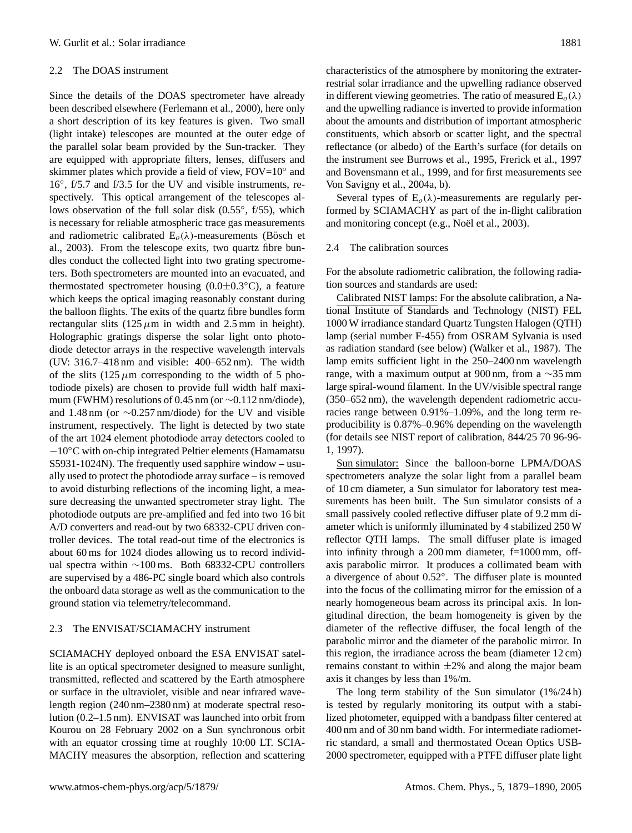### 2.2 The DOAS instrument

Since the details of the DOAS spectrometer have already been described elsewhere (Ferlemann et al., 2000), here only a short description of its key features is given. Two small (light intake) telescopes are mounted at the outer edge of the parallel solar beam provided by the Sun-tracker. They are equipped with appropriate filters, lenses, diffusers and skimmer plates which provide a field of view, FOV=10° and 16◦ , f/5.7 and f/3.5 for the UV and visible instruments, respectively. This optical arrangement of the telescopes allows observation of the full solar disk (0.55°, f/55), which is necessary for reliable atmospheric trace gas measurements and radiometric calibrated  $E<sub>o</sub>(\lambda)$ -measurements (Bösch et al., 2003). From the telescope exits, two quartz fibre bundles conduct the collected light into two grating spectrometers. Both spectrometers are mounted into an evacuated, and thermostated spectrometer housing  $(0.0\pm0.3\degree\text{C})$ , a feature which keeps the optical imaging reasonably constant during the balloon flights. The exits of the quartz fibre bundles form rectangular slits  $(125 \mu m)$  in width and 2.5 mm in height). Holographic gratings disperse the solar light onto photodiode detector arrays in the respective wavelength intervals (UV: 316.7–418 nm and visible: 400–652 nm). The width of the slits  $(125 \mu m)$  corresponding to the width of 5 photodiode pixels) are chosen to provide full width half maximum (FWHM) resolutions of 0.45 nm (or ∼0.112 nm/diode), and 1.48 nm (or ∼0.257 nm/diode) for the UV and visible instrument, respectively. The light is detected by two state of the art 1024 element photodiode array detectors cooled to −10◦C with on-chip integrated Peltier elements (Hamamatsu S5931-1024N). The frequently used sapphire window – usually used to protect the photodiode array surface – is removed to avoid disturbing reflections of the incoming light, a measure decreasing the unwanted spectrometer stray light. The photodiode outputs are pre-amplified and fed into two 16 bit A/D converters and read-out by two 68332-CPU driven controller devices. The total read-out time of the electronics is about 60 ms for 1024 diodes allowing us to record individual spectra within ∼100 ms. Both 68332-CPU controllers are supervised by a 486-PC single board which also controls the onboard data storage as well as the communication to the ground station via telemetry/telecommand.

#### 2.3 The ENVISAT/SCIAMACHY instrument

SCIAMACHY deployed onboard the ESA ENVISAT satellite is an optical spectrometer designed to measure sunlight, transmitted, reflected and scattered by the Earth atmosphere or surface in the ultraviolet, visible and near infrared wavelength region (240 nm–2380 nm) at moderate spectral resolution (0.2–1.5 nm). ENVISAT was launched into orbit from Kourou on 28 February 2002 on a Sun synchronous orbit with an equator crossing time at roughly 10:00 LT. SCIA-MACHY measures the absorption, reflection and scattering characteristics of the atmosphere by monitoring the extraterrestrial solar irradiance and the upwelling radiance observed in different viewing geometries. The ratio of measured  $E_o(\lambda)$ and the upwelling radiance is inverted to provide information about the amounts and distribution of important atmospheric constituents, which absorb or scatter light, and the spectral reflectance (or albedo) of the Earth's surface (for details on the instrument see Burrows et al., 1995, Frerick et al., 1997 and Bovensmann et al., 1999, and for first measurements see Von Savigny et al., 2004a, b).

Several types of  $E_0(\lambda)$ -measurements are regularly performed by SCIAMACHY as part of the in-flight calibration and monitoring concept (e.g., Noël et al., 2003).

# 2.4 The calibration sources

For the absolute radiometric calibration, the following radiation sources and standards are used:

Calibrated NIST lamps: For the absolute calibration, a National Institute of Standards and Technology (NIST) FEL 1000 W irradiance standard Quartz Tungsten Halogen (QTH) lamp (serial number F-455) from OSRAM Sylvania is used as radiation standard (see below) (Walker et al., 1987). The lamp emits sufficient light in the 250–2400 nm wavelength range, with a maximum output at 900 nm, from a  $\sim$ 35 mm large spiral-wound filament. In the UV/visible spectral range (350–652 nm), the wavelength dependent radiometric accuracies range between 0.91%–1.09%, and the long term reproducibility is 0.87%–0.96% depending on the wavelength (for details see NIST report of calibration, 844/25 70 96-96- 1, 1997).

Sun simulator: Since the balloon-borne LPMA/DOAS spectrometers analyze the solar light from a parallel beam of 10 cm diameter, a Sun simulator for laboratory test measurements has been built. The Sun simulator consists of a small passively cooled reflective diffuser plate of 9.2 mm diameter which is uniformly illuminated by 4 stabilized 250 W reflector QTH lamps. The small diffuser plate is imaged into infinity through a  $200 \text{ mm}$  diameter,  $f=1000 \text{ mm}$ , offaxis parabolic mirror. It produces a collimated beam with a divergence of about 0.52◦ . The diffuser plate is mounted into the focus of the collimating mirror for the emission of a nearly homogeneous beam across its principal axis. In longitudinal direction, the beam homogeneity is given by the diameter of the reflective diffuser, the focal length of the parabolic mirror and the diameter of the parabolic mirror. In this region, the irradiance across the beam (diameter 12 cm) remains constant to within  $\pm 2\%$  and along the major beam axis it changes by less than 1%/m.

The long term stability of the Sun simulator (1%/24 h) is tested by regularly monitoring its output with a stabilized photometer, equipped with a bandpass filter centered at 400 nm and of 30 nm band width. For intermediate radiometric standard, a small and thermostated Ocean Optics USB-2000 spectrometer, equipped with a PTFE diffuser plate light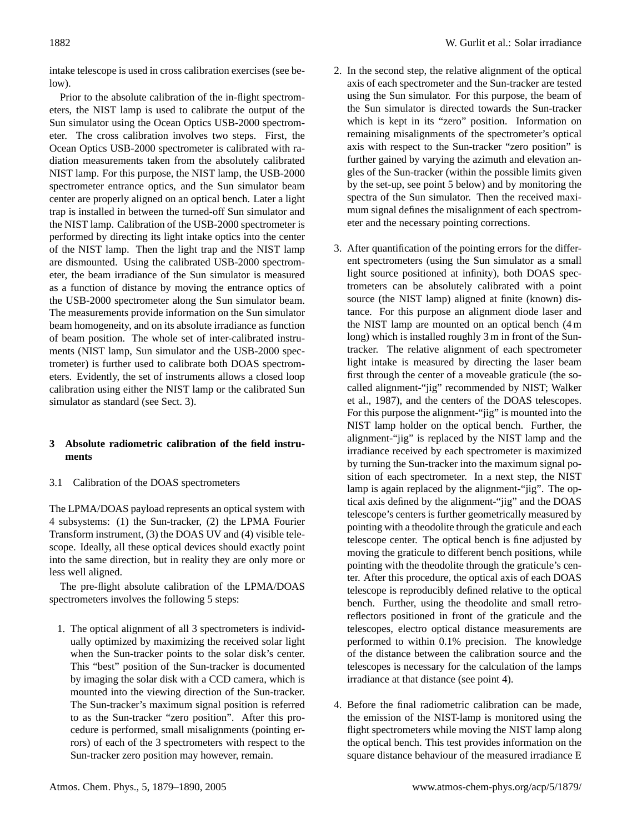intake telescope is used in cross calibration exercises (see below).

Prior to the absolute calibration of the in-flight spectrometers, the NIST lamp is used to calibrate the output of the Sun simulator using the Ocean Optics USB-2000 spectrometer. The cross calibration involves two steps. First, the Ocean Optics USB-2000 spectrometer is calibrated with radiation measurements taken from the absolutely calibrated NIST lamp. For this purpose, the NIST lamp, the USB-2000 spectrometer entrance optics, and the Sun simulator beam center are properly aligned on an optical bench. Later a light trap is installed in between the turned-off Sun simulator and the NIST lamp. Calibration of the USB-2000 spectrometer is performed by directing its light intake optics into the center of the NIST lamp. Then the light trap and the NIST lamp are dismounted. Using the calibrated USB-2000 spectrometer, the beam irradiance of the Sun simulator is measured as a function of distance by moving the entrance optics of the USB-2000 spectrometer along the Sun simulator beam. The measurements provide information on the Sun simulator beam homogeneity, and on its absolute irradiance as function of beam position. The whole set of inter-calibrated instruments (NIST lamp, Sun simulator and the USB-2000 spectrometer) is further used to calibrate both DOAS spectrometers. Evidently, the set of instruments allows a closed loop calibration using either the NIST lamp or the calibrated Sun simulator as standard (see Sect. 3).

# **3 Absolute radiometric calibration of the field instruments**

3.1 Calibration of the DOAS spectrometers

The LPMA/DOAS payload represents an optical system with 4 subsystems: (1) the Sun-tracker, (2) the LPMA Fourier Transform instrument, (3) the DOAS UV and (4) visible telescope. Ideally, all these optical devices should exactly point into the same direction, but in reality they are only more or less well aligned.

The pre-flight absolute calibration of the LPMA/DOAS spectrometers involves the following 5 steps:

1. The optical alignment of all 3 spectrometers is individually optimized by maximizing the received solar light when the Sun-tracker points to the solar disk's center. This "best" position of the Sun-tracker is documented by imaging the solar disk with a CCD camera, which is mounted into the viewing direction of the Sun-tracker. The Sun-tracker's maximum signal position is referred to as the Sun-tracker "zero position". After this procedure is performed, small misalignments (pointing errors) of each of the 3 spectrometers with respect to the Sun-tracker zero position may however, remain.

- 2. In the second step, the relative alignment of the optical axis of each spectrometer and the Sun-tracker are tested using the Sun simulator. For this purpose, the beam of the Sun simulator is directed towards the Sun-tracker which is kept in its "zero" position. Information on remaining misalignments of the spectrometer's optical axis with respect to the Sun-tracker "zero position" is further gained by varying the azimuth and elevation angles of the Sun-tracker (within the possible limits given by the set-up, see point 5 below) and by monitoring the spectra of the Sun simulator. Then the received maximum signal defines the misalignment of each spectrometer and the necessary pointing corrections.
- 3. After quantification of the pointing errors for the different spectrometers (using the Sun simulator as a small light source positioned at infinity), both DOAS spectrometers can be absolutely calibrated with a point source (the NIST lamp) aligned at finite (known) distance. For this purpose an alignment diode laser and the NIST lamp are mounted on an optical bench (4 m long) which is installed roughly 3 m in front of the Suntracker. The relative alignment of each spectrometer light intake is measured by directing the laser beam first through the center of a moveable graticule (the socalled alignment-"jig" recommended by NIST; Walker et al., 1987), and the centers of the DOAS telescopes. For this purpose the alignment-"jig" is mounted into the NIST lamp holder on the optical bench. Further, the alignment-"jig" is replaced by the NIST lamp and the irradiance received by each spectrometer is maximized by turning the Sun-tracker into the maximum signal position of each spectrometer. In a next step, the NIST lamp is again replaced by the alignment-"jig". The optical axis defined by the alignment-"jig" and the DOAS telescope's centers is further geometrically measured by pointing with a theodolite through the graticule and each telescope center. The optical bench is fine adjusted by moving the graticule to different bench positions, while pointing with the theodolite through the graticule's center. After this procedure, the optical axis of each DOAS telescope is reproducibly defined relative to the optical bench. Further, using the theodolite and small retroreflectors positioned in front of the graticule and the telescopes, electro optical distance measurements are performed to within 0.1% precision. The knowledge of the distance between the calibration source and the telescopes is necessary for the calculation of the lamps irradiance at that distance (see point 4).
- 4. Before the final radiometric calibration can be made, the emission of the NIST-lamp is monitored using the flight spectrometers while moving the NIST lamp along the optical bench. This test provides information on the square distance behaviour of the measured irradiance E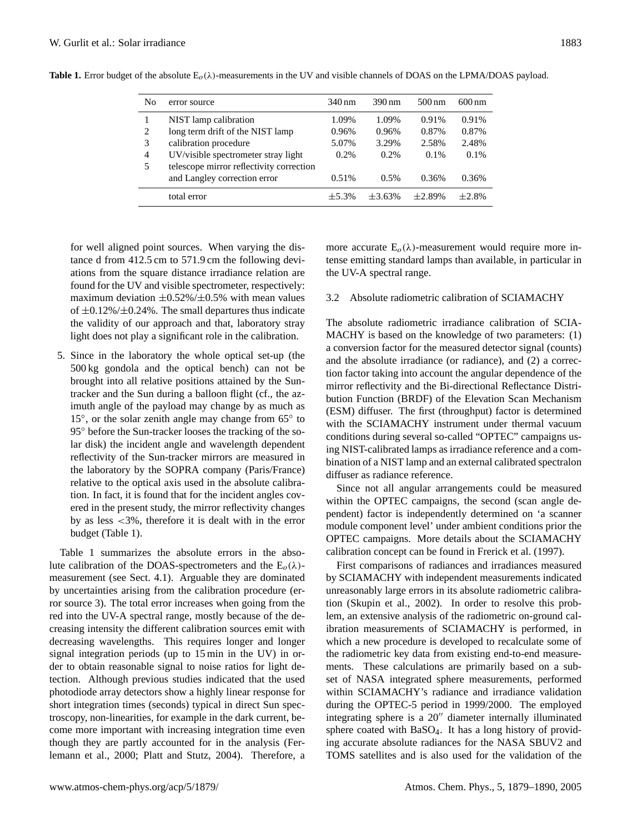| N <sub>0</sub> | error source                             | 340 nm     | $390 \,\mathrm{nm}$ | $500 \,\mathrm{nm}$ | $600 \,\mathrm{nm}$ |
|----------------|------------------------------------------|------------|---------------------|---------------------|---------------------|
|                | NIST lamp calibration                    | 1.09%      | 1.09%               | 0.91%               | 0.91%               |
| 2              | long term drift of the NIST lamp         | 0.96%      | 0.96%               | 0.87%               | 0.87%               |
| 3              | calibration procedure                    | 5.07%      | 3.29%               | 2.58%               | 2.48%               |
| $\overline{4}$ | UV/visible spectrometer stray light      | $0.2\%$    | 0.2%                | $0.1\%$             | $0.1\%$             |
| 5              | telescope mirror reflectivity correction |            |                     |                     |                     |
|                | and Langley correction error             | 0.51%      | 0.5%                | 0.36%               | 0.36%               |
|                | total error                              | $\pm$ 5.3% | $\pm 3.63\%$        | $\pm 2.89\%$        | $\pm 2.8\%$         |

**Table 1.** Error budget of the absolute  $E_0(\lambda)$ -measurements in the UV and visible channels of DOAS on the LPMA/DOAS payload.

for well aligned point sources. When varying the distance d from 412.5 cm to 571.9 cm the following deviations from the square distance irradiance relation are found for the UV and visible spectrometer, respectively: maximum deviation  $\pm 0.52\% / \pm 0.5\%$  with mean values of  $\pm 0.12\% / \pm 0.24\%$ . The small departures thus indicate the validity of our approach and that, laboratory stray light does not play a significant role in the calibration.

5. Since in the laboratory the whole optical set-up (the 500 kg gondola and the optical bench) can not be brought into all relative positions attained by the Suntracker and the Sun during a balloon flight (cf., the azimuth angle of the payload may change by as much as 15°, or the solar zenith angle may change from 65° to 95° before the Sun-tracker looses the tracking of the solar disk) the incident angle and wavelength dependent reflectivity of the Sun-tracker mirrors are measured in the laboratory by the SOPRA company (Paris/France) relative to the optical axis used in the absolute calibration. In fact, it is found that for the incident angles covered in the present study, the mirror reflectivity changes by as less <3%, therefore it is dealt with in the error budget (Table 1).

Table 1 summarizes the absolute errors in the absolute calibration of the DOAS-spectrometers and the  $E_0(\lambda)$ measurement (see Sect. 4.1). Arguable they are dominated by uncertainties arising from the calibration procedure (error source 3). The total error increases when going from the red into the UV-A spectral range, mostly because of the decreasing intensity the different calibration sources emit with decreasing wavelengths. This requires longer and longer signal integration periods (up to 15 min in the UV) in order to obtain reasonable signal to noise ratios for light detection. Although previous studies indicated that the used photodiode array detectors show a highly linear response for short integration times (seconds) typical in direct Sun spectroscopy, non-linearities, for example in the dark current, become more important with increasing integration time even though they are partly accounted for in the analysis (Ferlemann et al., 2000; Platt and Stutz, 2004). Therefore, a more accurate  $E_o(\lambda)$ -measurement would require more intense emitting standard lamps than available, in particular in the UV-A spectral range.

# 3.2 Absolute radiometric calibration of SCIAMACHY

The absolute radiometric irradiance calibration of SCIA-MACHY is based on the knowledge of two parameters: (1) a conversion factor for the measured detector signal (counts) and the absolute irradiance (or radiance), and (2) a correction factor taking into account the angular dependence of the mirror reflectivity and the Bi-directional Reflectance Distribution Function (BRDF) of the Elevation Scan Mechanism (ESM) diffuser. The first (throughput) factor is determined with the SCIAMACHY instrument under thermal vacuum conditions during several so-called "OPTEC" campaigns using NIST-calibrated lamps as irradiance reference and a combination of a NIST lamp and an external calibrated spectralon diffuser as radiance reference.

Since not all angular arrangements could be measured within the OPTEC campaigns, the second (scan angle dependent) factor is independently determined on 'a scanner module component level' under ambient conditions prior the OPTEC campaigns. More details about the SCIAMACHY calibration concept can be found in Frerick et al. (1997).

First comparisons of radiances and irradiances measured by SCIAMACHY with independent measurements indicated unreasonably large errors in its absolute radiometric calibration (Skupin et al., 2002). In order to resolve this problem, an extensive analysis of the radiometric on-ground calibration measurements of SCIAMACHY is performed, in which a new procedure is developed to recalculate some of the radiometric key data from existing end-to-end measurements. These calculations are primarily based on a subset of NASA integrated sphere measurements, performed within SCIAMACHY's radiance and irradiance validation during the OPTEC-5 period in 1999/2000. The employed integrating sphere is a  $20''$  diameter internally illuminated sphere coated with BaSO4. It has a long history of providing accurate absolute radiances for the NASA SBUV2 and TOMS satellites and is also used for the validation of the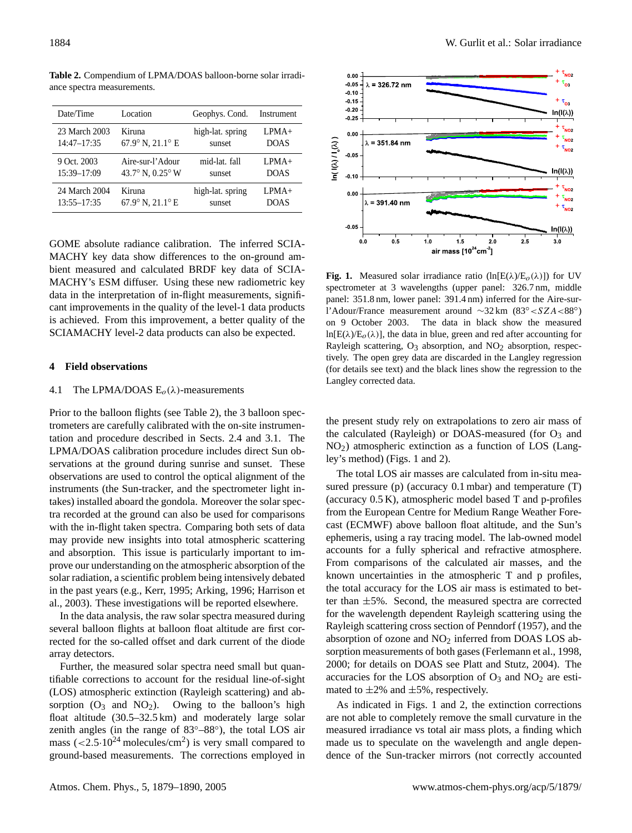| Date/Time       | Location                       | Geophys. Cond.   | Instrument  |
|-----------------|--------------------------------|------------------|-------------|
| 23 March 2003   | Kiruna                         | high-lat. spring | $LPMA+$     |
| $14:47 - 17:35$ | 67.9° N, 21.1° E               | sunset           | <b>DOAS</b> |
| 9 Oct. 2003     | Aire-sur-l'Adour               | mid-lat. fall    | $LPMA+$     |
| 15:39-17:09     | 43.7° N, $0.25$ ° W            | sunset           | <b>DOAS</b> |
| 24 March 2004   | Kiruna                         | high-lat. spring | $LPMA+$     |
| $13:55 - 17:35$ | $67.9^\circ$ N, $21.1^\circ$ E | sunset           | <b>DOAS</b> |

**Table 2.** Compendium of LPMA/DOAS balloon-borne solar irradiance spectra measurements.

GOME absolute radiance calibration. The inferred SCIA-MACHY key data show differences to the on-ground ambient measured and calculated BRDF key data of SCIA-MACHY's ESM diffuser. Using these new radiometric key data in the interpretation of in-flight measurements, significant improvements in the quality of the level-1 data products is achieved. From this improvement, a better quality of the SCIAMACHY level-2 data products can also be expected.

## **4 Field observations**

# 4.1 The LPMA/DOAS  $E_0(\lambda)$ -measurements

Prior to the balloon flights (see Table 2), the 3 balloon spectrometers are carefully calibrated with the on-site instrumentation and procedure described in Sects. 2.4 and 3.1. The LPMA/DOAS calibration procedure includes direct Sun observations at the ground during sunrise and sunset. These observations are used to control the optical alignment of the instruments (the Sun-tracker, and the spectrometer light intakes) installed aboard the gondola. Moreover the solar spectra recorded at the ground can also be used for comparisons with the in-flight taken spectra. Comparing both sets of data may provide new insights into total atmospheric scattering and absorption. This issue is particularly important to improve our understanding on the atmospheric absorption of the solar radiation, a scientific problem being intensively debated in the past years (e.g., Kerr, 1995; Arking, 1996; Harrison et al., 2003). These investigations will be reported elsewhere.

In the data analysis, the raw solar spectra measured during several balloon flights at balloon float altitude are first corrected for the so-called offset and dark current of the diode array detectors.

Further, the measured solar spectra need small but quantifiable corrections to account for the residual line-of-sight (LOS) atmospheric extinction (Rayleigh scattering) and absorption  $(O_3$  and  $NO_2)$ . Owing to the balloon's high float altitude (30.5–32.5 km) and moderately large solar zenith angles (in the range of 83◦–88◦ ), the total LOS air mass  $(<2.5 \cdot 10^{24} \text{ molecules/cm}^2$ ) is very small compared to ground-based measurements. The corrections employed in



**Fig. 1.** Measured solar irradiance ratio  $(\ln[E(\lambda)/E_o(\lambda)])$  for UV spectrometer at 3 wavelengths (upper panel: 326.7 nm, middle panel: 351.8 nm, lower panel: 391.4 nm) inferred for the Aire-surl'Adour/France measurement around ∼32 km (83◦<SZA<88◦ ) on 9 October 2003. The data in black show the measured ln[E( $\lambda$ )/E<sub>o</sub>( $\lambda$ )], the data in blue, green and red after accounting for Rayleigh scattering,  $O_3$  absorption, and  $NO_2$  absorption, respectively. The open grey data are discarded in the Langley regression (for details see text) and the black lines show the regression to the Langley corrected data.

the present study rely on extrapolations to zero air mass of the calculated (Rayleigh) or DOAS-measured (for  $O_3$  and NO2) atmospheric extinction as a function of LOS (Langley's method) (Figs. 1 and 2).

The total LOS air masses are calculated from in-situ measured pressure (p) (accuracy 0.1 mbar) and temperature (T) (accuracy 0.5 K), atmospheric model based T and p-profiles from the European Centre for Medium Range Weather Forecast (ECMWF) above balloon float altitude, and the Sun's ephemeris, using a ray tracing model. The lab-owned model accounts for a fully spherical and refractive atmosphere. From comparisons of the calculated air masses, and the known uncertainties in the atmospheric T and p profiles, the total accuracy for the LOS air mass is estimated to better than ±5%. Second, the measured spectra are corrected for the wavelength dependent Rayleigh scattering using the Rayleigh scattering cross section of Penndorf (1957), and the absorption of ozone and  $NO<sub>2</sub>$  inferred from DOAS LOS absorption measurements of both gases (Ferlemann et al., 1998, 2000; for details on DOAS see Platt and Stutz, 2004). The accuracies for the LOS absorption of  $O_3$  and  $NO_2$  are estimated to  $\pm 2\%$  and  $\pm 5\%$ , respectively.

As indicated in Figs. 1 and 2, the extinction corrections are not able to completely remove the small curvature in the measured irradiance vs total air mass plots, a finding which made us to speculate on the wavelength and angle dependence of the Sun-tracker mirrors (not correctly accounted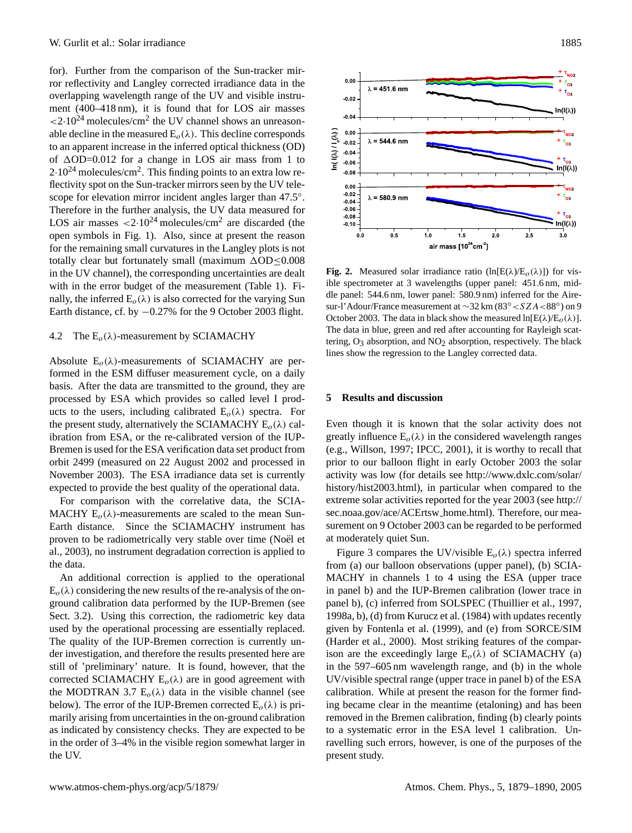for). Further from the comparison of the Sun-tracker mirror reflectivity and Langley corrected irradiance data in the overlapping wavelength range of the UV and visible instrument (400–418 nm), it is found that for LOS air masses  $\langle 2.10^{24} \text{ molecules/cm}^2$  the UV channel shows an unreasonable decline in the measured  $E_o(\lambda)$ . This decline corresponds to an apparent increase in the inferred optical thickness (OD) of  $\Delta$ OD=0.012 for a change in LOS air mass from 1 to  $2.10^{24}$  molecules/cm<sup>2</sup>. This finding points to an extra low reflectivity spot on the Sun-tracker mirrors seen by the UV telescope for elevation mirror incident angles larger than 47.5°. Therefore in the further analysis, the UV data measured for LOS air masses  $\langle 2.10^{24} \text{ molecules/cm}^2$  are discarded (the open symbols in Fig. 1). Also, since at present the reason for the remaining small curvatures in the Langley plots is not totally clear but fortunately small (maximum  $\Delta OD \leq 0.008$ in the UV channel), the corresponding uncertainties are dealt with in the error budget of the measurement (Table 1). Finally, the inferred  $E_0(\lambda)$  is also corrected for the varying Sun Earth distance, cf. by −0.27% for the 9 October 2003 flight.

# 4.2 The  $E_o(\lambda)$ -measurement by SCIAMACHY

Absolute  $E_o(\lambda)$ -measurements of SCIAMACHY are performed in the ESM diffuser measurement cycle, on a daily basis. After the data are transmitted to the ground, they are processed by ESA which provides so called level I products to the users, including calibrated  $E_o(\lambda)$  spectra. For the present study, alternatively the SCIAMACHY  $E_0(\lambda)$  calibration from ESA, or the re-calibrated version of the IUP-Bremen is used for the ESA verification data set product from orbit 2499 (measured on 22 August 2002 and processed in November 2003). The ESA irradiance data set is currently expected to provide the best quality of the operational data.

For comparison with the correlative data, the SCIA-MACHY  $E<sub>o</sub>(\lambda)$ -measurements are scaled to the mean Sun-Earth distance. Since the SCIAMACHY instrument has proven to be radiometrically very stable over time (Noël et al., 2003), no instrument degradation correction is applied to the data.

An additional correction is applied to the operational  $E<sub>o</sub>(\lambda)$  considering the new results of the re-analysis of the onground calibration data performed by the IUP-Bremen (see Sect. 3.2). Using this correction, the radiometric key data used by the operational processing are essentially replaced. The quality of the IUP-Bremen correction is currently under investigation, and therefore the results presented here are still of 'preliminary' nature. It is found, however, that the corrected SCIAMACHY  $E<sub>o</sub>(\lambda)$  are in good agreement with the MODTRAN 3.7  $E<sub>o</sub>(\lambda)$  data in the visible channel (see below). The error of the IUP-Bremen corrected  $E_o(\lambda)$  is primarily arising from uncertainties in the on-ground calibration as indicated by consistency checks. They are expected to be in the order of 3–4% in the visible region somewhat larger in the UV.



**Fig. 2.** Measured solar irradiance ratio  $(\ln[E(\lambda)/E_o(\lambda)])$  for visible spectrometer at 3 wavelengths (upper panel: 451.6 nm, middle panel: 544.6 nm, lower panel: 580.9 nm) inferred for the Airesur-l'Adour/France measurement at ∼32 km (83◦<SZA<88◦ ) on 9 October 2003. The data in black show the measured  $\ln[E(\lambda)/E_{0}(\lambda)]$ . The data in blue, green and red after accounting for Rayleigh scattering,  $O_3$  absorption, and  $NO_2$  absorption, respectively. The black lines show the regression to the Langley corrected data.

### **5 Results and discussion**

Even though it is known that the solar activity does not greatly influence  $E_o(\lambda)$  in the considered wavelength ranges (e.g., Willson, 1997; IPCC, 2001), it is worthy to recall that prior to our balloon flight in early October 2003 the solar activity was low (for details see [http://www.dxlc.com/solar/](http://www.dxlc.com/solar/history/hist2003.html) [history/hist2003.html\)](http://www.dxlc.com/solar/history/hist2003.html), in particular when compared to the extreme solar activities reported for the year 2003 (see [http://](http://sec.noaa.gov/ace/ACErtsw_home.html) [sec.noaa.gov/ace/ACErtsw](http://sec.noaa.gov/ace/ACErtsw_home.html) home.html). Therefore, our measurement on 9 October 2003 can be regarded to be performed at moderately quiet Sun.

Figure 3 compares the UV/visible  $E_o(\lambda)$  spectra inferred from (a) our balloon observations (upper panel), (b) SCIA-MACHY in channels 1 to 4 using the ESA (upper trace in panel b) and the IUP-Bremen calibration (lower trace in panel b), (c) inferred from SOLSPEC (Thuillier et al., 1997, 1998a, b), (d) from Kurucz et al. (1984) with updates recently given by Fontenla et al. (1999), and (e) from SORCE/SIM (Harder et al., 2000). Most striking features of the comparison are the exceedingly large  $E_o(\lambda)$  of SCIAMACHY (a) in the 597–605 nm wavelength range, and (b) in the whole UV/visible spectral range (upper trace in panel b) of the ESA calibration. While at present the reason for the former finding became clear in the meantime (etaloning) and has been removed in the Bremen calibration, finding (b) clearly points to a systematic error in the ESA level 1 calibration. Unravelling such errors, however, is one of the purposes of the present study.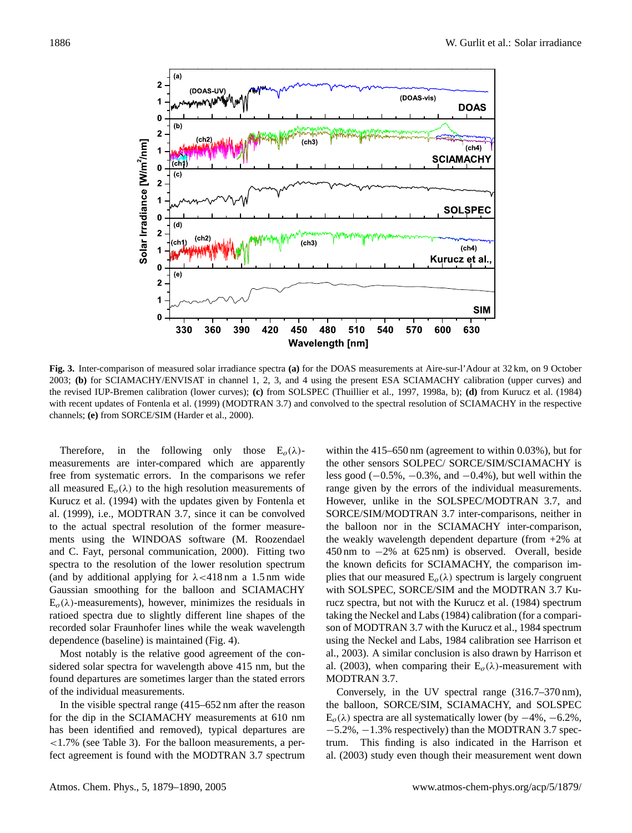

the revised IUP-Bremen calibration (lower curves); (c) from SOLSPEC (Thuillier et al., 1997, 1998a, b); (d) from Kurucz et al. (1984) with recent updates of Fontenla et al. (1999) (MODTRAN 3.7) and convolved to the spectral resolution of SCIAMACHY in the respective channels; **(e)** from SORCE/SIM (Harder et al., 2000). **Fig. 3.** Inter-comparison of measured solar irradiance spectra **(a)** for the DOAS measurements at Aire-sur-l'Adour at 32 km, on 9 October 2003; **(b)** for SCIAMACHY/ENVISAT in channel 1, 2, 3, and 4 using the present ESA SCIAMACHY calibration (upper curves) and

Therefore, in the following only those  $E_o(\lambda)$ - within the 415–6. measurements are inter-compared which are apparently the other sensors free from systematic errors. In the comparisons we refer less good  $(-0.5\%$ all measured  $E_o(\lambda)$  to the high resolution measurements of range given by t Kurucz et al. (1994) with the updates given by Fontenla et However, unlike al. (1999), i.e., MODTRAN 3.7, since it can be convolved to the actual spectral resolution of the former measurements using the WINDOAS software (M. Roozendael and C. Fayt, personal communication, 2000). Fitting two spectra to the resolution of the lower resolution spectrum (and by additional applying for  $\lambda$  <418 nm a 1.5 nm wide Gaussian smoothing for the balloon and SCIAMACHY  $E<sub>o</sub>(\lambda)$ -measurements), however, minimizes the residuals in ratioed spectra due to slightly different line shapes of the recorded solar Fraunhofer lines while the weak wavelength dependence (baseline) is maintained (Fig. 4).

Most notably is the relative good agreement of the considered solar spectra for wavelength above 415 nm, but the found departures are sometimes larger than the stated errors of the individual measurements.

In the visible spectral range (415–652 nm after the reason for the dip in the SCIAMACHY measurements at 610 nm has been identified and removed), typical departures are <1.7% (see Table 3). For the balloon measurements, a perfect agreement is found with the MODTRAN 3.7 spectrum

within the 415–650 nm (agreement to within 0.03%), but for the other sensors SOLPEC/ SORCE/SIM/SCIAMACHY is less good  $(-0.5\%, -0.3\%, \text{ and } -0.4\%)$ , but well within the range given by the errors of the individual measurements. However, unlike in the SOLSPEC/MODTRAN 3.7, and SORCE/SIM/MODTRAN 3.7 inter-comparisons, neither in the balloon nor in the SCIAMACHY inter-comparison, the weakly wavelength dependent departure (from +2% at 450 nm to −2% at 625 nm) is observed. Overall, beside the known deficits for SCIAMACHY, the comparison implies that our measured  $E_o(\lambda)$  spectrum is largely congruent with SOLSPEC, SORCE/SIM and the MODTRAN 3.7 Kurucz spectra, but not with the Kurucz et al. (1984) spectrum taking the Neckel and Labs (1984) calibration (for a comparison of MODTRAN 3.7 with the Kurucz et al., 1984 spectrum using the Neckel and Labs, 1984 calibration see Harrison et al., 2003). A similar conclusion is also drawn by Harrison et al. (2003), when comparing their  $E<sub>o</sub>(\lambda)$ -measurement with MODTRAN 3.7.

expectral range (415–652 nm after the reason the balloon, SORCE/SIM, SCIAMACHY, and SOLSPEC Conversely, in the UV spectral range (316.7–370 nm),  $E<sub>o</sub>(\lambda)$  spectra are all systematically lower (by  $-4\%, -6.2\%,$ −5.2%, −1.3% respectively) than the MODTRAN 3.7 spectrum. This finding is also indicated in the Harrison et al. (2003) study even though their measurement went down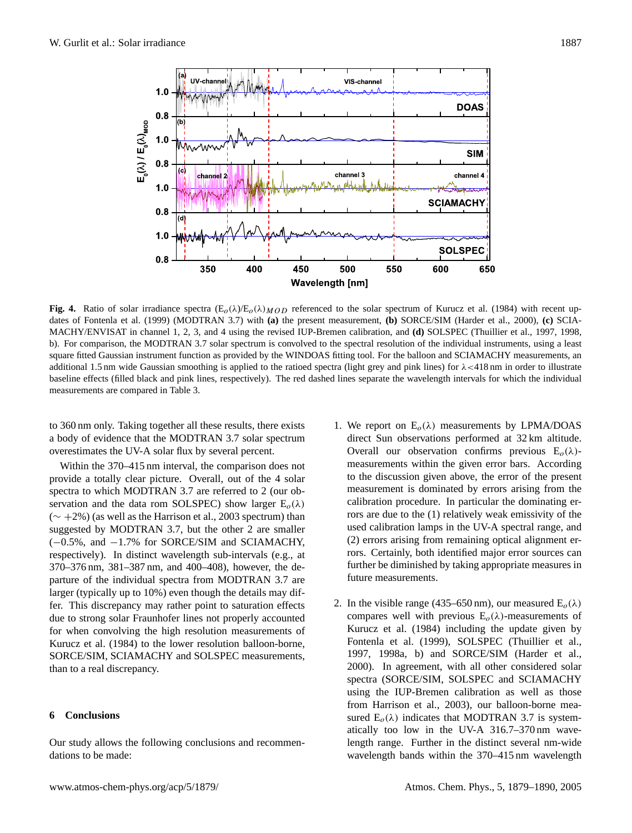

MACHY/ENVISAT in channel 1, 2, 3, and 4 using the revised IUP-Bremen calibration, and **(d)** SOLSPEC (Thuillier et al., 1997, 1998, b). For comparison, the MODTRAN 3.7 solar spectrum is convolved to the spectral resolution of the individual instruments, using a least square fitted Gaussian instrument function as provided by the WINDOAS fitting tool. For the balloon and SCIAMACHY measurements, an additional 1.5 nm wide Gaussian smoothing is applied to the ratioed spectra (light grey and pink lines) for  $\lambda$  <418 nm in order to illustrate baseline effects (filled black and pink lines, respectively). The red dashed lines separate the wavelength intervals for which the individual maggiuments are separated in Table 3. volupace in task of **Fig. 4.** Ratio of solar irradiance spectra  $(E_0(\lambda) / E_0(\lambda)_{MOD}$  referenced to the solar spectrum of Kurucz et al. (1984) with recent updates of Fontenla et al. (1999) (MODTRAN 3.7) with **(a)** the present measurement, **(b)** SORCE/SIM (Harder et al., 2000), **(c)** SCIAmeasurements are compared in Table 3.

to 360 nm only. Taking together all these results, there exists 1. We report of a body of evidence that the MODTRAN 3.7 solar spectrum direct Sun overestimates the UV-A solar flux by several percent. Overall our

Within the 370–415 nm interval, the comparison does not measurement provide a totally clear picture. Overall, out of the 4 solar to the discus spectra to which MODTRAN 3.7 are referred to 2 (our ob-<br>measurement servation and the data rom SOLSPEC) show larger  $E_o(\lambda)$  calibration p  $($   $\sim$  +2%) (as well as the Harrison et al., 2003 spectrum) than rors are due suggested by MODTRAN 3.7, but the other 2 are smaller (−0.5%, and −1.7% for SORCE/SIM and SCIAMACHY, respectively). In distinct wavelength sub-intervals (e.g., at 370–376 nm, 381–387 nm, and 400–408), however, the departure of the individual spectra from MODTRAN 3.7 are larger (typically up to 10%) even though the details may differ. This discrepancy may rather point to saturation effects due to strong solar Fraunhofer lines not properly accounted for when convolving the high resolution measurements of Kurucz et al. (1984) to the lower resolution balloon-borne, SORCE/SIM, SCIAMACHY and SOLSPEC measurements, than to a real discrepancy.

# **6 Conclusions**

Our study allows the following conclusions and recommendations to be made:

- 1. We report on  $E_0(\lambda)$  measurements by LPMA/DOAS direct Sun observations performed at 32 km altitude. Overall our observation confirms previous  $E_o(\lambda)$ measurements within the given error bars. According to the discussion given above, the error of the present measurement is dominated by errors arising from the calibration procedure. In particular the dominating errors are due to the (1) relatively weak emissivity of the used calibration lamps in the UV-A spectral range, and (2) errors arising from remaining optical alignment errors. Certainly, both identified major error sources can further be diminished by taking appropriate measures in future measurements.
- $\text{A}^{\text{H}}$  at most chem-physical extension et al., 2005), our balloon-point measured  $\text{E}_{\text{o}}(\lambda)$  indicates that MODTRAN 3.7 is system-2. In the visible range (435–650 nm), our measured  $E_o(\lambda)$ compares well with previous  $E_o(\lambda)$ -measurements of Kurucz et al. (1984) including the update given by Fontenla et al. (1999), SOLSPEC (Thuillier et al., 1997, 1998a, b) and SORCE/SIM (Harder et al., 2000). In agreement, with all other considered solar spectra (SORCE/SIM, SOLSPEC and SCIAMACHY using the IUP-Bremen calibration as well as those from Harrison et al., 2003), our balloon-borne meaatically too low in the UV-A 316.7–370 nm wavelength range. Further in the distinct several nm-wide wavelength bands within the 370–415 nm wavelength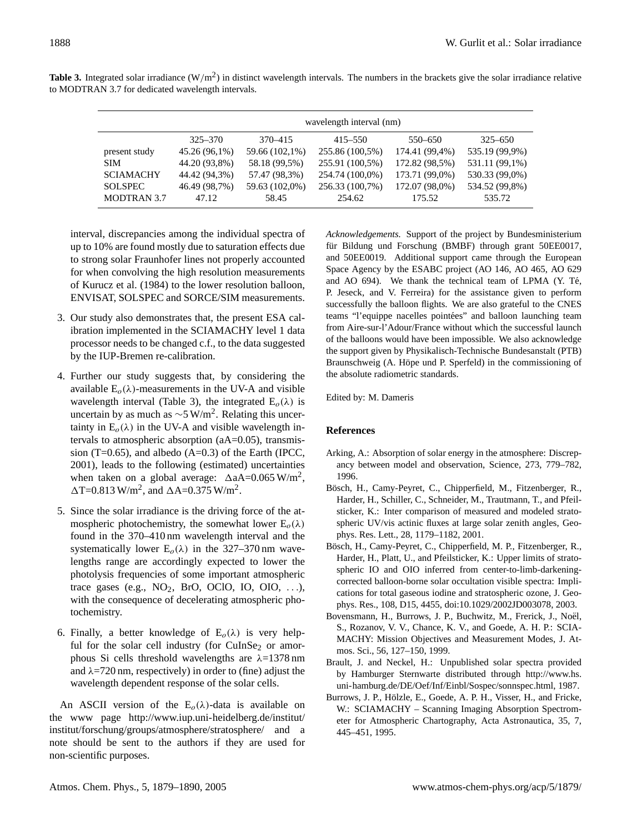|                    | wavelength interval (nm) |                |                 |                |                |  |  |
|--------------------|--------------------------|----------------|-----------------|----------------|----------------|--|--|
|                    | $325 - 370$              | 370-415        | $415 - 550$     | 550–650        | $325 - 650$    |  |  |
| present study      | 45.26 (96,1%)            | 59.66 (102,1%) | 255.86 (100,5%) | 174.41 (99,4%) | 535.19 (99,9%) |  |  |
| <b>SIM</b>         | 44.20 (93,8%)            | 58.18 (99.5%)  | 255.91 (100,5%) | 172.82 (98,5%) | 531.11 (99,1%) |  |  |
| <b>SCIAMACHY</b>   | 44.42 (94,3%)            | 57.47 (98,3%)  | 254.74 (100,0%) | 173.71 (99,0%) | 530.33 (99,0%) |  |  |
| <b>SOLSPEC</b>     | 46.49 (98,7%)            | 59.63 (102,0%) | 256.33 (100,7%) | 172.07 (98,0%) | 534.52 (99,8%) |  |  |
| <b>MODTRAN 3.7</b> | 47.12                    | 58.45          | 254.62          | 175.52         | 535.72         |  |  |

**Table 3.** Integrated solar irradiance  $(W/m^2)$  in distinct wavelength intervals. The numbers in the brackets give the solar irradiance relative to MODTRAN 3.7 for dedicated wavelength intervals.

interval, discrepancies among the individual spectra of up to 10% are found mostly due to saturation effects due to strong solar Fraunhofer lines not properly accounted for when convolving the high resolution measurements of Kurucz et al. (1984) to the lower resolution balloon, ENVISAT, SOLSPEC and SORCE/SIM measurements.

- 3. Our study also demonstrates that, the present ESA calibration implemented in the SCIAMACHY level 1 data processor needs to be changed c.f., to the data suggested by the IUP-Bremen re-calibration.
- 4. Further our study suggests that, by considering the available  $E_o(\lambda)$ -measurements in the UV-A and visible wavelength interval (Table 3), the integrated  $E_o(\lambda)$  is uncertain by as much as  $\sim$ 5 W/m<sup>2</sup>. Relating this uncertainty in  $E_o(\lambda)$  in the UV-A and visible wavelength intervals to atmospheric absorption (aA=0.05), transmission (T=0.65), and albedo  $(A=0.3)$  of the Earth (IPCC, 2001), leads to the following (estimated) uncertainties when taken on a global average:  $\Delta$ aA=0.065 W/m<sup>2</sup>,  $\Delta$ T=0.813 W/m<sup>2</sup>, and  $\Delta$ A=0.375 W/m<sup>2</sup>.
- 5. Since the solar irradiance is the driving force of the atmospheric photochemistry, the somewhat lower  $E_o(\lambda)$ found in the 370–410 nm wavelength interval and the systematically lower  $E_0(\lambda)$  in the 327–370 nm wavelengths range are accordingly expected to lower the photolysis frequencies of some important atmospheric trace gases (e.g.,  $NO<sub>2</sub>$ , BrO, OClO, IO, OIO, ...), with the consequence of decelerating atmospheric photochemistry.
- 6. Finally, a better knowledge of  $E_o(\lambda)$  is very helpful for the solar cell industry (for  $CuInSe<sub>2</sub>$  or amorphous Si cells threshold wavelengths are  $λ=1378$  nm and  $\lambda$ =720 nm, respectively) in order to (fine) adjust the wavelength dependent response of the solar cells.

An ASCII version of the  $E_0(\lambda)$ -data is available on the www page [http://www.iup.uni-heidelberg.de/institut/](http://www.iup.uni-heidelberg.de/institut/institut/forschung/groups/atmosphere/stratosphere/) [institut/forschung/groups/atmosphere/stratosphere/](http://www.iup.uni-heidelberg.de/institut/institut/forschung/groups/atmosphere/stratosphere/) and a note should be sent to the authors if they are used for non-scientific purposes.

*Acknowledgements.* Support of the project by Bundesministerium für Bildung und Forschung (BMBF) through grant 50EE0017, and 50EE0019. Additional support came through the European Space Agency by the ESABC project (AO 146, AO 465, AO 629 and AO 694). We thank the technical team of LPMA (Y. Té, P. Jeseck, and V. Ferreira) for the assistance given to perform successfully the balloon flights. We are also grateful to the CNES teams "l'equippe nacelles pointées" and balloon launching team from Aire-sur-l'Adour/France without which the successful launch of the balloons would have been impossible. We also acknowledge the support given by Physikalisch-Technische Bundesanstalt (PTB) Braunschweig (A. Höpe und P. Sperfeld) in the commissioning of the absolute radiometric standards.

Edited by: M. Dameris

# **References**

- Arking, A.: Absorption of solar energy in the atmosphere: Discrepancy between model and observation, Science, 273, 779–782, 1996.
- Bösch, H., Camy-Peyret, C., Chipperfield, M., Fitzenberger, R., Harder, H., Schiller, C., Schneider, M., Trautmann, T., and Pfeilsticker, K.: Inter comparison of measured and modeled stratospheric UV/vis actinic fluxes at large solar zenith angles, Geophys. Res. Lett., 28, 1179–1182, 2001.
- Bösch, H., Camy-Peyret, C., Chipperfield, M. P., Fitzenberger, R., Harder, H., Platt, U., and Pfeilsticker, K.: Upper limits of stratospheric IO and OIO inferred from center-to-limb-darkeningcorrected balloon-borne solar occultation visible spectra: Implications for total gaseous iodine and stratospheric ozone, J. Geophys. Res., 108, D15, 4455, doi:10.1029/2002JD003078, 2003.
- Bovensmann, H., Burrows, J. P., Buchwitz, M., Frerick, J., Noël, S., Rozanov, V. V., Chance, K. V., and Goede, A. H. P.: SCIA-MACHY: Mission Objectives and Measurement Modes, J. Atmos. Sci., 56, 127–150, 1999.
- Brault, J. and Neckel, H.: Unpublished solar spectra provided by Hamburger Sternwarte distributed through [http://www.hs.](http://www.hs.uni-hamburg.de/DE/Oef/Inf/Einbl/Sospec/sonnspec.html) [uni-hamburg.de/DE/Oef/Inf/Einbl/Sospec/sonnspec.html,](http://www.hs.uni-hamburg.de/DE/Oef/Inf/Einbl/Sospec/sonnspec.html) 1987.
- Burrows, J. P., Hölzle, E., Goede, A. P. H., Visser, H., and Fricke, W.: SCIAMACHY – Scanning Imaging Absorption Spectrometer for Atmospheric Chartography, Acta Astronautica, 35, 7, 445–451, 1995.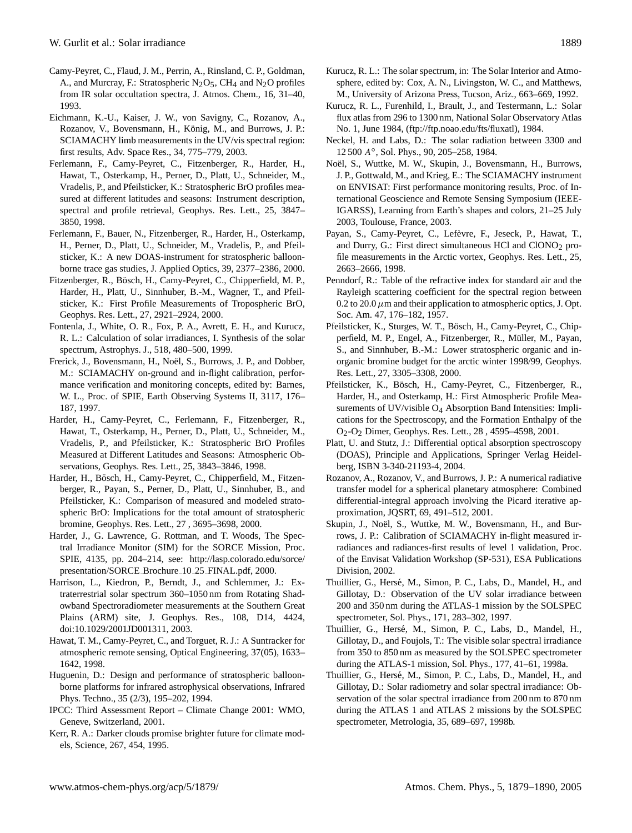- Camy-Peyret, C., Flaud, J. M., Perrin, A., Rinsland, C. P., Goldman, A., and Murcray, F.: Stratospheric  $N_2O_5$ , CH<sub>4</sub> and  $N_2O$  profiles from IR solar occultation spectra, J. Atmos. Chem., 16, 31–40, 1993.
- Eichmann, K.-U., Kaiser, J. W., von Savigny, C., Rozanov, A., Rozanov, V., Bovensmann, H., König, M., and Burrows, J. P.: SCIAMACHY limb measurements in the UV/vis spectral region: first results, Adv. Space Res., 34, 775–779, 2003.
- Ferlemann, F., Camy-Peyret, C., Fitzenberger, R., Harder, H., Hawat, T., Osterkamp, H., Perner, D., Platt, U., Schneider, M., Vradelis, P., and Pfeilsticker, K.: Stratospheric BrO profiles measured at different latitudes and seasons: Instrument description, spectral and profile retrieval, Geophys. Res. Lett., 25, 3847– 3850, 1998.
- Ferlemann, F., Bauer, N., Fitzenberger, R., Harder, H., Osterkamp, H., Perner, D., Platt, U., Schneider, M., Vradelis, P., and Pfeilsticker, K.: A new DOAS-instrument for stratospheric balloonborne trace gas studies, J. Applied Optics, 39, 2377–2386, 2000.
- Fitzenberger, R., Bösch, H., Camy-Peyret, C., Chipperfield, M. P., Harder, H., Platt, U., Sinnhuber, B.-M., Wagner, T., and Pfeilsticker, K.: First Profile Measurements of Tropospheric BrO, Geophys. Res. Lett., 27, 2921–2924, 2000.
- Fontenla, J., White, O. R., Fox, P. A., Avrett, E. H., and Kurucz, R. L.: Calculation of solar irradiances, I. Synthesis of the solar spectrum, Astrophys. J., 518, 480–500, 1999.
- Frerick, J., Bovensmann, H., Noël, S., Burrows, J. P., and Dobber, M.: SCIAMACHY on-ground and in-flight calibration, performance verification and monitoring concepts, edited by: Barnes, W. L., Proc. of SPIE, Earth Observing Systems II, 3117, 176– 187, 1997.
- Harder, H., Camy-Peyret, C., Ferlemann, F., Fitzenberger, R., Hawat, T., Osterkamp, H., Perner, D., Platt, U., Schneider, M., Vradelis, P., and Pfeilsticker, K.: Stratospheric BrO Profiles Measured at Different Latitudes and Seasons: Atmospheric Observations, Geophys. Res. Lett., 25, 3843–3846, 1998.
- Harder, H., Bösch, H., Camy-Peyret, C., Chipperfield, M., Fitzenberger, R., Payan, S., Perner, D., Platt, U., Sinnhuber, B., and Pfeilsticker, K.: Comparison of measured and modeled stratospheric BrO: Implications for the total amount of stratospheric bromine, Geophys. Res. Lett., 27 , 3695–3698, 2000.
- Harder, J., G. Lawrence, G. Rottman, and T. Woods, The Spectral Irradiance Monitor (SIM) for the SORCE Mission, Proc. SPIE, 4135, pp. 204–214, see: [http://lasp.colorado.edu/sorce/](http://lasp.colorado.edu/sorce/presentation/SORCE_Brochure_10_25_FINAL.pdf) [presentation/SORCE](http://lasp.colorado.edu/sorce/presentation/SORCE_Brochure_10_25_FINAL.pdf) Brochure 10 25 FINAL.pdf, 2000.
- Harrison, L., Kiedron, P., Berndt, J., and Schlemmer, J.: Extraterrestrial solar spectrum 360–1050 nm from Rotating Shadowband Spectroradiometer measurements at the Southern Great Plains (ARM) site, J. Geophys. Res., 108, D14, 4424, doi:10.1029/2001JD001311, 2003.
- Hawat, T. M., Camy-Peyret, C., and Torguet, R. J.: A Suntracker for atmospheric remote sensing, Optical Engineering, 37(05), 1633– 1642, 1998.
- Huguenin, D.: Design and performance of stratospheric balloonborne platforms for infrared astrophysical observations, Infrared Phys. Techno., 35 (2/3), 195–202, 1994.
- IPCC: Third Assessment Report Climate Change 2001: WMO, Geneve, Switzerland, 2001.
- Kerr, R. A.: Darker clouds promise brighter future for climate models, Science, 267, 454, 1995.
- Kurucz, R. L.: The solar spectrum, in: The Solar Interior and Atmosphere, edited by: Cox, A. N., Livingston, W. C., and Matthews, M., University of Arizona Press, Tucson, Ariz., 663–669, 1992.
- Kurucz, R. L., Furenhild, I., Brault, J., and Testermann, L.: Solar flux atlas from 296 to 1300 nm, National Solar Observatory Atlas No. 1, June 1984, [\(ftp://ftp.noao.edu/fts/fluxatl\)](ftp://ftp.noao.edu/fts/fluxatl), 1984.
- Neckel, H. and Labs, D.: The solar radiation between 3300 and 12 500 A◦ , Sol. Phys., 90, 205–258, 1984.
- Noël, S., Wuttke, M. W., Skupin, J., Bovensmann, H., Burrows, J. P., Gottwald, M., and Krieg, E.: The SCIAMACHY instrument on ENVISAT: First performance monitoring results, Proc. of International Geoscience and Remote Sensing Symposium (IEEE-IGARSS), Learning from Earth's shapes and colors, 21–25 July 2003, Toulouse, France, 2003.
- Payan, S., Camy-Peyret, C., Lefèvre, F., Jeseck, P., Hawat, T., and Durry, G.: First direct simultaneous HCl and  $ClONO<sub>2</sub>$  profile measurements in the Arctic vortex, Geophys. Res. Lett., 25, 2663–2666, 1998.
- Penndorf, R.: Table of the refractive index for standard air and the Rayleigh scattering coefficient for the spectral region between 0.2 to 20.0  $\mu$ m and their application to atmospheric optics, J. Opt. Soc. Am. 47, 176–182, 1957.
- Pfeilsticker, K., Sturges, W. T., Bösch, H., Camy-Peyret, C., Chipperfield, M. P., Engel, A., Fitzenberger, R., Müller, M., Payan, S., and Sinnhuber, B.-M.: Lower stratospheric organic and inorganic bromine budget for the arctic winter 1998/99, Geophys. Res. Lett., 27, 3305–3308, 2000.
- Pfeilsticker, K., Bösch, H., Camy-Peyret, C., Fitzenberger, R., Harder, H., and Osterkamp, H.: First Atmospheric Profile Measurements of UV/visible O<sub>4</sub> Absorption Band Intensities: Implications for the Spectroscopy, and the Formation Enthalpy of the O2-O2 Dimer, Geophys. Res. Lett., 28 , 4595–4598, 2001.
- Platt, U. and Stutz, J.: Differential optical absorption spectroscopy (DOAS), Principle and Applications, Springer Verlag Heidelberg, ISBN 3-340-21193-4, 2004.
- Rozanov, A., Rozanov, V., and Burrows, J. P.: A numerical radiative transfer model for a spherical planetary atmosphere: Combined differential-integral approach involving the Picard iterative approximation, JQSRT, 69, 491–512, 2001.
- Skupin, J., Noël, S., Wuttke, M. W., Bovensmann, H., and Burrows, J. P.: Calibration of SCIAMACHY in-flight measured irradiances and radiances-first results of level 1 validation, Proc. of the Envisat Validation Workshop (SP-531), ESA Publications Division, 2002.
- Thuillier, G., Hersé, M., Simon, P. C., Labs, D., Mandel, H., and Gillotay, D.: Observation of the UV solar irradiance between 200 and 350 nm during the ATLAS-1 mission by the SOLSPEC spectrometer, Sol. Phys., 171, 283–302, 1997.
- Thuillier, G., Hersé, M., Simon, P. C., Labs, D., Mandel, H., Gillotay, D., and Foujols, T.: The visible solar spectral irradiance from 350 to 850 nm as measured by the SOLSPEC spectrometer during the ATLAS-1 mission, Sol. Phys., 177, 41–61, 1998a.
- Thuillier, G., Hersé, M., Simon, P. C., Labs, D., Mandel, H., and Gillotay, D.: Solar radiometry and solar spectral irradiance: Observation of the solar spectral irradiance from 200 nm to 870 nm during the ATLAS 1 and ATLAS 2 missions by the SOLSPEC spectrometer, Metrologia, 35, 689–697, 1998b.